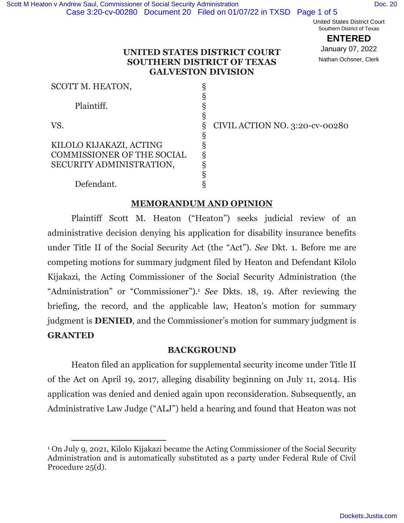United States District Court Southern District of Texas

**ENTERED**

January 07, 2022 Nathan Ochsner, Clerk

### **UNITED STATES DISTRICT COURT SOUTHERN DISTRICT OF TEXAS GALVESTON DIVISION**

| SCOTT M. HEATON,                  |                                |
|-----------------------------------|--------------------------------|
|                                   |                                |
| Plaintiff.                        |                                |
|                                   |                                |
| VS.                               | CIVIL ACTION NO. 3:20-cv-00280 |
|                                   |                                |
| KILOLO KIJAKAZI, ACTING           |                                |
| <b>COMMISSIONER OF THE SOCIAL</b> |                                |
| SECURITY ADMINISTRATION,          |                                |
|                                   |                                |
| Defendant.                        |                                |

## **MEMORANDUM AND OPINION**

Plaintiff Scott M. Heaton ("Heaton") seeks judicial review of an administrative decision denying his application for disability insurance benefits under Title II of the Social Security Act (the "Act"). *See* Dkt. 1. Before me are competing motions for summary judgment filed by Heaton and Defendant Kilolo Kijakazi, the Acting Commissioner of the Social Security Administration (the "Administration" or "Commissioner").1 *See* Dkts. 18, 19. After reviewing the briefing, the record, and the applicable law, Heaton's motion for summary judgment is **DENIED**, and the Commissioner's motion for summary judgment is **GRANTED**

## **BACKGROUND**

Heaton filed an application for supplemental security income under Title II of the Act on April 19, 2017, alleging disability beginning on July 11, 2014. His application was denied and denied again upon reconsideration. Subsequently, an Administrative Law Judge ("ALJ") held a hearing and found that Heaton was not

<sup>1</sup> On July 9, 2021, Kilolo Kijakazi became the Acting Commissioner of the Social Security Administration and is automatically substituted as a party under Federal Rule of Civil Procedure 25(d).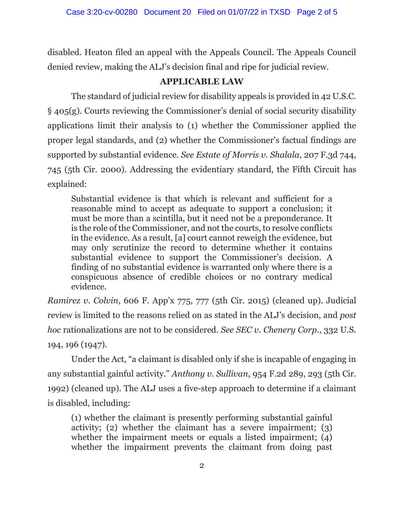disabled. Heaton filed an appeal with the Appeals Council. The Appeals Council denied review, making the ALJ's decision final and ripe for judicial review.

# **APPLICABLE LAW**

The standard of judicial review for disability appeals is provided in 42 U.S.C. § 405(g). Courts reviewing the Commissioner's denial of social security disability applications limit their analysis to (1) whether the Commissioner applied the proper legal standards, and (2) whether the Commissioner's factual findings are supported by substantial evidence. *See Estate of Morris v. Shalala*, 207 F.3d 744, 745 (5th Cir. 2000). Addressing the evidentiary standard, the Fifth Circuit has explained:

Substantial evidence is that which is relevant and sufficient for a reasonable mind to accept as adequate to support a conclusion; it must be more than a scintilla, but it need not be a preponderance. It is the role of the Commissioner, and not the courts, to resolve conflicts in the evidence. As a result, [a] court cannot reweigh the evidence, but may only scrutinize the record to determine whether it contains substantial evidence to support the Commissioner's decision. A finding of no substantial evidence is warranted only where there is a conspicuous absence of credible choices or no contrary medical evidence.

*Ramirez v. Colvin*, 606 F. App'x 775, 777 (5th Cir. 2015) (cleaned up). Judicial review is limited to the reasons relied on as stated in the ALJ's decision, and *post hoc* rationalizations are not to be considered. *See SEC v. Chenery Corp.*, 332 U.S. 194, 196 (1947).

 Under the Act, "a claimant is disabled only if she is incapable of engaging in any substantial gainful activity." *Anthony v. Sullivan*, 954 F.2d 289, 293 (5th Cir. 1992) (cleaned up). The ALJ uses a five-step approach to determine if a claimant is disabled, including:

(1) whether the claimant is presently performing substantial gainful activity; (2) whether the claimant has a severe impairment; (3) whether the impairment meets or equals a listed impairment; (4) whether the impairment prevents the claimant from doing past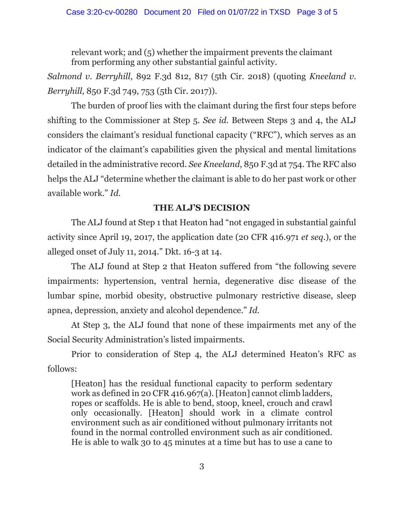relevant work; and (5) whether the impairment prevents the claimant from performing any other substantial gainful activity.

*Salmond v. Berryhill*, 892 F.3d 812, 817 (5th Cir. 2018) (quoting *Kneeland v. Berryhill*, 850 F.3d 749, 753 (5th Cir. 2017)).

 The burden of proof lies with the claimant during the first four steps before shifting to the Commissioner at Step 5. *See id.* Between Steps 3 and 4, the ALJ considers the claimant's residual functional capacity ("RFC"), which serves as an indicator of the claimant's capabilities given the physical and mental limitations detailed in the administrative record. *See Kneeland*, 850 F.3d at 754. The RFC also helps the ALJ "determine whether the claimant is able to do her past work or other available work." *Id.*

## **THE ALJ'S DECISION**

The ALJ found at Step 1 that Heaton had "not engaged in substantial gainful activity since April 19, 2017, the application date (20 CFR 416.971 *et seq*.), or the alleged onset of July 11, 2014." Dkt. 16-3 at 14.

The ALJ found at Step 2 that Heaton suffered from "the following severe impairments: hypertension, ventral hernia, degenerative disc disease of the lumbar spine, morbid obesity, obstructive pulmonary restrictive disease, sleep apnea, depression, anxiety and alcohol dependence." *Id*.

At Step 3, the ALJ found that none of these impairments met any of the Social Security Administration's listed impairments.

Prior to consideration of Step 4, the ALJ determined Heaton's RFC as follows:

[Heaton] has the residual functional capacity to perform sedentary work as defined in 20 CFR 416.967(a). [Heaton] cannot climb ladders, ropes or scaffolds. He is able to bend, stoop, kneel, crouch and crawl only occasionally. [Heaton] should work in a climate control environment such as air conditioned without pulmonary irritants not found in the normal controlled environment such as air conditioned. He is able to walk 30 to 45 minutes at a time but has to use a cane to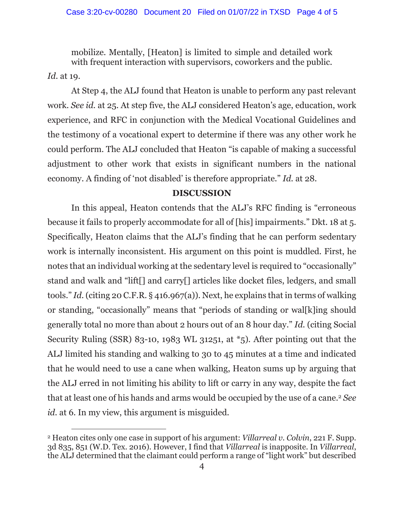mobilize. Mentally, [Heaton] is limited to simple and detailed work with frequent interaction with supervisors, coworkers and the public. *Id.* at 19.

 At Step 4, the ALJ found that Heaton is unable to perform any past relevant work. *See id.* at 25. At step five, the ALJ considered Heaton's age, education, work experience, and RFC in conjunction with the Medical Vocational Guidelines and the testimony of a vocational expert to determine if there was any other work he could perform. The ALJ concluded that Heaton "is capable of making a successful adjustment to other work that exists in significant numbers in the national economy. A finding of 'not disabled' is therefore appropriate." *Id.* at 28.

### **DISCUSSION**

In this appeal, Heaton contends that the ALJ's RFC finding is "erroneous because it fails to properly accommodate for all of [his] impairments." Dkt. 18 at 5. Specifically, Heaton claims that the ALJ's finding that he can perform sedentary work is internally inconsistent. His argument on this point is muddled. First, he notes that an individual working at the sedentary level is required to "occasionally" stand and walk and "lift[] and carry[] articles like docket files, ledgers, and small tools." *Id.* (citing 20 C.F.R. § 416.967(a)). Next, he explains that in terms of walking or standing, "occasionally" means that "periods of standing or wal[k]ing should generally total no more than about 2 hours out of an 8 hour day." *Id.* (citing Social Security Ruling (SSR) 83-10, 1983 WL 31251, at \*5). After pointing out that the ALJ limited his standing and walking to 30 to 45 minutes at a time and indicated that he would need to use a cane when walking, Heaton sums up by arguing that the ALJ erred in not limiting his ability to lift or carry in any way, despite the fact that at least one of his hands and arms would be occupied by the use of a cane.2 *See id.* at 6. In my view, this argument is misguided.

<sup>2</sup> Heaton cites only one case in support of his argument: *Villarreal v. Colvin*, 221 F. Supp. 3d 835, 851 (W.D. Tex. 2016). However, I find that *Villarreal* is inapposite. In *Villarreal*, the ALJ determined that the claimant could perform a range of "light work" but described